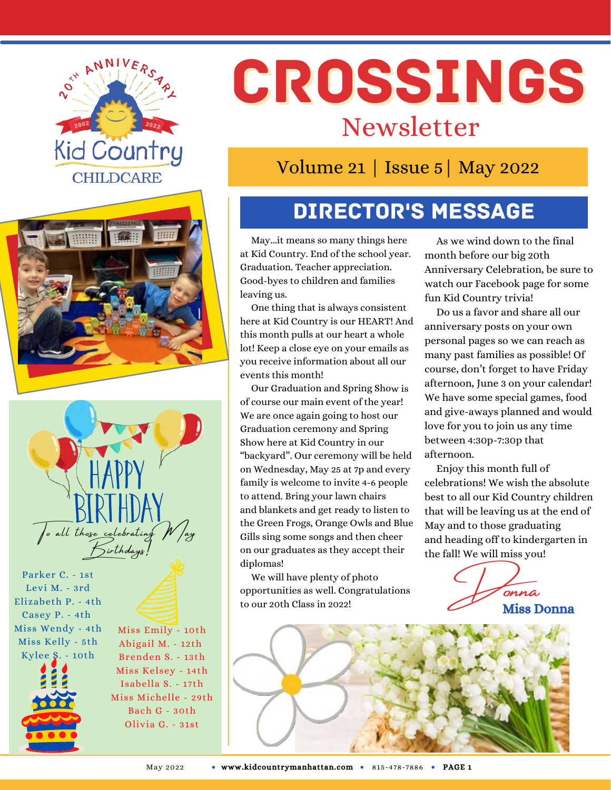





Parker C. - 1st Levi M. - 3rd Elizabeth P. - 4th Casey P. - 4th Miss Wendy - 4th Miss Kelly - 5th Kylee S. - 10th

Miss Emily - 10th Abigail M. - 12th Brenden S. - 13th Miss Kelsey - 14th Isabella S. - 17th Miss Michelle - 29th Bach G - 30th Olivia G. - 31st

# CROSSINGS Newsletter

Volume 21 | Issue 5| May 2022

# Director's Message

May...it means so many things here at Kid Country. End of the school year. Graduation. Teacher appreciation. Good-byes to children and families leaving us.

One thing that is always consistent here at Kid Country is our HEART! And this month pulls at our heart a whole lot! Keep a close eye on your emails as you receive information about all our events this month!

Our Graduation and Spring Show is of course our main event of the year! We are once again going to host our Graduation ceremony and Spring Show here at Kid Country in our "backyard". Our ceremony will be held on Wednesday, May 25 at 7p and every family is welcome to invite 4-6 people to attend. Bring your lawn chairs and blankets and get ready to listen to the Green Frogs, Orange Owls and Blue Gills sing some songs and then cheer on our graduates as they accept their diplomas!

We will have plenty of photo opportunities as well. Congratulations to our 20th Class in 2022!

As we wind down to the final month before our big 20th Anniversary Celebration, be sure to watch our Facebook page for some fun Kid Country trivia!

Do us a favor and share all our anniversary posts on your own personal pages so we can reach as many past families as possible! Of course, don't forget to have Friday afternoon, June 3 on your calendar! We have some special games, food and give-aways planned and would love for you to join us any time between 4:30p-7:30p that afternoon.

Enjoy this month full of celebrations! We wish the absolute best to all our Kid Country children that will be leaving us at the end of May and to those graduating and heading off to kindergarten in the fall! We will miss you!

> Donna Miss Donna

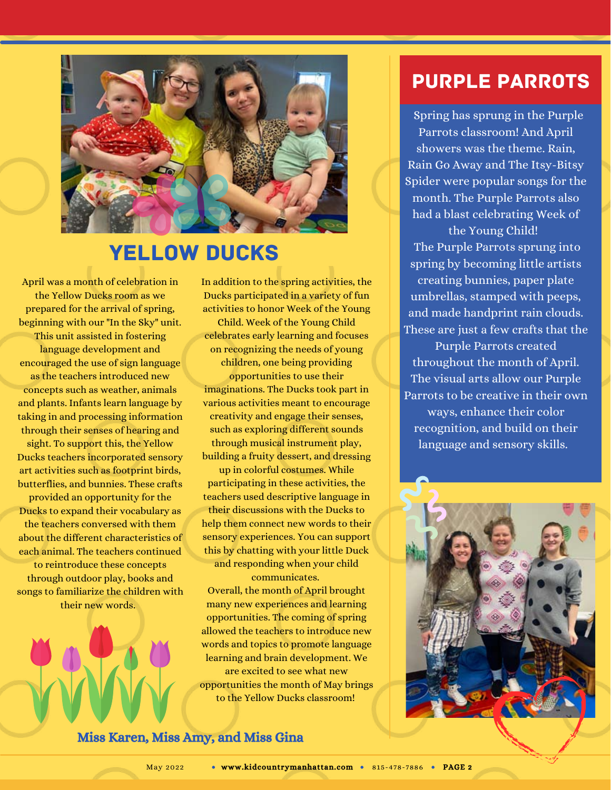

#### Yellow Ducks

April was a month of celebration in the Yellow Ducks room as we prepared for the arrival of spring, beginning with our "In the Sky" unit. This unit assisted in fostering language development and encouraged the use of sign language as the teachers introduced new concepts such as weather, animals and plants. Infants learn language by taking in and processing information through their senses of hearing and sight. To support this, the Yellow Ducks teachers incorporated sensory art activities such as footprint birds, butterflies, and bunnies. These crafts provided an opportunity for the Ducks to expand their vocabulary as the teachers conversed with them about the different characteristics of each animal. The teachers continued

to reintroduce these concepts through outdoor play, books and songs to familiarize the children with their new words.

Ducks participated in a variety of fun activities to honor Week of the Young Child. Week of the Young Child celebrates early learning and focuses on recognizing the needs of young children, one being providing opportunities to use their imaginations. The Ducks took part in various activities meant to encourage creativity and engage their senses, such as exploring different sounds through musical instrument play, building a fruity dessert, and dressing up in colorful costumes. While

In addition to the spring activities, the

participating in these activities, the teachers used descriptive language in their discussions with the Ducks to help them connect new words to their sensory experiences. You can support this by chatting with your little Duck and responding when your child

communicates. Overall, the month of April brought many new experiences and learning opportunities. The coming of spring allowed the teachers to introduce new words and topics to promote language learning and brain development. We are excited to see what new opportunities the month of May brings to the Yellow Ducks classroom!

Purple Parrots

Spring has sprung in the Purple Parrots classroom! And April showers was the theme. Rain, Rain Go Away and The Itsy-Bitsy Spider were popular songs for the month. The Purple Parrots also had a blast celebrating Week of

the Young Child! The Purple Parrots sprung into spring by becoming little artists creating bunnies, paper plate umbrellas, stamped with peeps, and made handprint rain clouds. These are just a few crafts that the

Purple Parrots created throughout the month of April. The visual arts allow our Purple Parrots to be creative in their own ways, enhance their color recognition, and build on their language and sensory skills.



Miss Karen, Miss Amy, and Miss Gina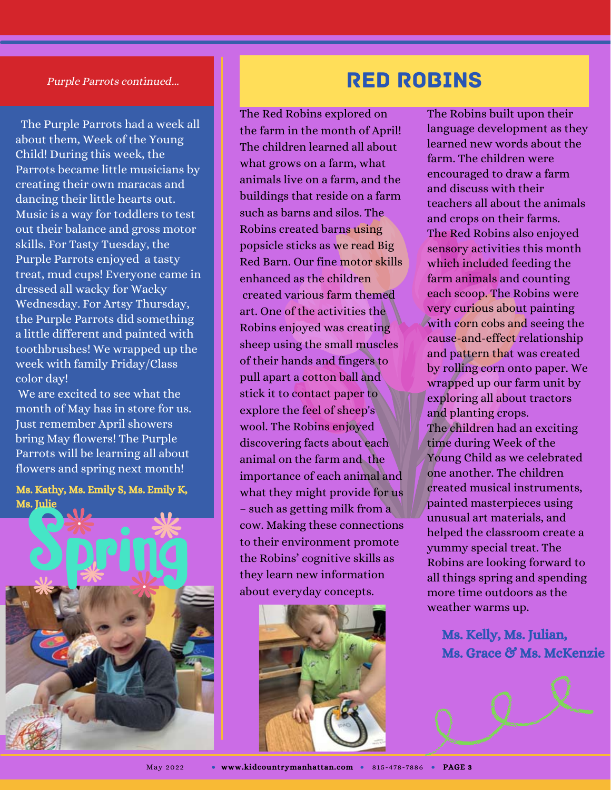#### Purple Parrots continued...

The Purple Parrots had a week all about them, Week of the Young Child! During this week, the Parrots became little musicians by creating their own maracas and dancing their little hearts out. Music is a way for toddlers to test out their balance and gross motor skills. For Tasty Tuesday, the Purple Parrots enjoyed a tasty treat, mud cups! Everyone came in dressed all wacky for Wacky Wednesday. For Artsy Thursday, the Purple Parrots did something a little different and painted with toothbrushes! We wrapped up the week with family Friday/Class color day!

We are excited to see what the month of May has in store for us. Just remember April showers bring May flowers! The Purple Parrots will be learning all about flowers and spring next month!

Ms. Kathy, Ms. Emily S, Ms. Emily K, Ms. Julie



### Red Robins

The Red Robins explored on the farm in the month of April! The children learned all about what grows on a farm, what animals live on a farm, and the buildings that reside on a farm such as barns and silos. The Robins created barns using popsicle sticks as we read Big Red Barn. Our fine motor skills enhanced as the children created various farm themed art. One of the activities the Robins enjoyed was creating sheep using the small muscles of their hands and fingers to pull apart a cotton ball and stick it to contact paper to explore the feel of sheep's wool. The Robins enjoyed discovering facts about each animal on the farm and the importance of each animal and what they might provide for us – such as getting milk from a cow. Making these connections to their environment promote the Robins' cognitive skills as they learn new information about everyday concepts.



The Robins built upon their language development as they learned new words about the farm. The children were encouraged to draw a farm and discuss with their teachers all about the animals and crops on their farms. The Red Robins also enjoyed sensory activities this month which included feeding the farm animals and counting each scoop. The Robins were very curious about painting with corn cobs and seeing the cause-and-effect relationship and pattern that was created by rolling corn onto paper. We wrapped up our farm unit by exploring all about tractors and planting crops. The children had an exciting time during Week of the Young Child as we celebrated one another. The children created musical instruments, painted masterpieces using unusual art materials, and helped the classroom create a yummy special treat. The Robins are looking forward to all things spring and spending more time outdoors as the weather warms up.

> Ms. Kelly, Ms. Julian, Ms. Grace & Ms. McKenzie

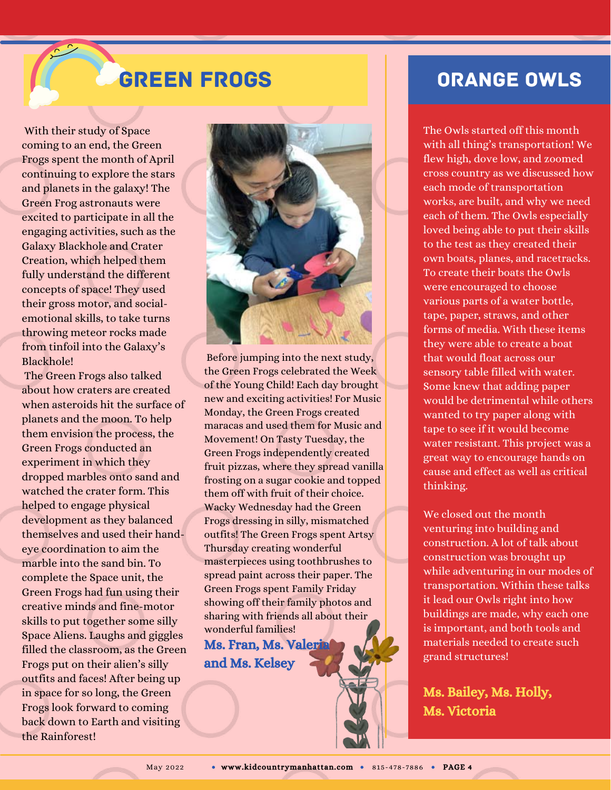## Green Frogs

With their study of Space coming to an end, the Green Frogs spent the month of April continuing to explore the stars and planets in the galaxy! The Green Frog astronauts were excited to participate in all the engaging activities, such as the Galaxy Blackhole and Crater Creation, which helped them fully understand the different concepts of space! They used their gross motor, and socialemotional skills, to take turns throwing meteor rocks made from tinfoil into the Galaxy's Blackhole!

The Green Frogs also talked about how craters are created when asteroids hit the surface of planets and the moon. To help them envision the process, the Green Frogs conducted an experiment in which they dropped marbles onto sand and watched the crater form. This helped to engage physical development as they balanced themselves and used their handeye coordination to aim the marble into the sand bin. To complete the Space unit, the Green Frogs had fun using their creative minds and fine-motor skills to put together some silly Space Aliens. Laughs and giggles filled the classroom, as the Green Frogs put on their alien's silly outfits and faces! After being up in space for so long, the Green Frogs look forward to coming back down to Earth and visiting the Rainforest!



Before jumping into the next study, the Green Frogs celebrated the Week of the Young Child! Each day brought new and exciting activities! For Music Monday, the Green Frogs created maracas and used them for Music and Movement! On Tasty Tuesday, the Green Frogs independently created fruit pizzas, where they spread vanilla frosting on a sugar cookie and topped them off with fruit of their choice. Wacky Wednesday had the Green Frogs dressing in silly, mismatched outfits! The Green Frogs spent Artsy Thursday creating wonderful masterpieces using toothbrushes to spread paint across their paper. The Green Frogs spent Family Friday showing off their family photos and sharing with friends all about their wonderful families! Ms. Fran, Ms. Valeri

and Ms. Kelsey

#### Orange Owls

The Owls started off this month with all thing's transportation! We flew high, dove low, and zoomed cross country as we discussed how each mode of transportation works, are built, and why we need each of them. The Owls especially loved being able to put their skills to the test as they created their own boats, planes, and racetracks. To create their boats the Owls were encouraged to choose various parts of a water bottle, tape, paper, straws, and other forms of media. With these items they were able to create a boat that would float across our sensory table filled with water. Some knew that adding paper would be detrimental while others wanted to try paper along with tape to see if it would become water resistant. This project was a great way to encourage hands on cause and effect as well as critical thinking.

We closed out the month venturing into building and construction. A lot of talk about construction was brought up while adventuring in our modes of transportation. Within these talks it lead our Owls right into how buildings are made, why each one is important, and both tools and materials needed to create such grand structures!

Ms. Bailey, Ms. Holly, Ms. Victoria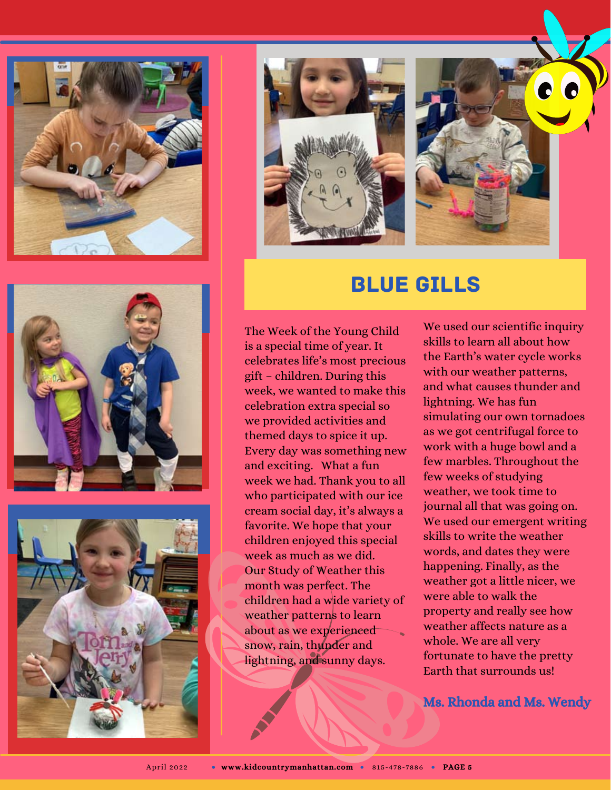







#### Blue Gills

The Week of the Young Child is a special time of year. It celebrates life's most precious gift – children. During this week, we wanted to make this celebration extra special so we provided activities and themed days to spice it up. Every day was something new and exciting. What a fun week we had. Thank you to all who participated with our ice cream social day, it's always a favorite. We hope that your children enjoyed this special week as much as we did. Our Study of Weather this month was perfect. The children had a wide variety of weather patterns to learn about as we experienced snow, rain, thunder and lightning, and sunny days.

We used our scientific inquiry skills to learn all about how the Earth's water cycle works with our weather patterns, and what causes thunder and lightning. We has fun simulating our own tornadoes as we got centrifugal force to work with a huge bowl and a few marbles. Throughout the few weeks of studying weather, we took time to journal all that was going on. We used our emergent writing skills to write the weather words, and dates they were happening. Finally, as the weather got a little nicer, we were able to walk the property and really see how weather affects nature as a whole. We are all very fortunate to have the pretty Earth that surrounds us!

Ms. Rhonda and Ms. Wendy